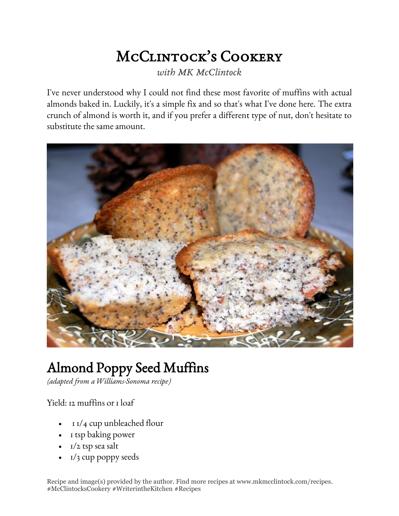## McClintock's Cookery

*with MK McClintock*

I've never understood why I could not find these most favorite of muffins with actual almonds baked in. Luckily, it's a simple fix and so that's what I've done here. The extra crunch of almond is worth it, and if you prefer a different type of nut, don't hesitate to substitute the same amount.



## Almond Poppy Seed Muffins

*(adapted from a Williams-Sonoma recipe)*

Yield: 12 muffins or 1 loaf

- 11/4 cup unbleached flour
- 1 tsp baking power
- 1/2 tsp sea salt
- 1/3 cup poppy seeds

Recipe and image(s) provided by the author. Find more recipes at www.mkmcclintock.com/recipes. #McClintocksCookery #WriterintheKitchen #Recipes